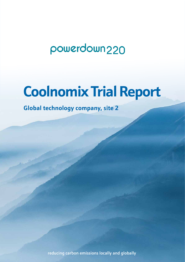# powerdown220

# **Coolnomix Trial Report**

**Global technology company, site 2**

reducing carbon emissions locally and globally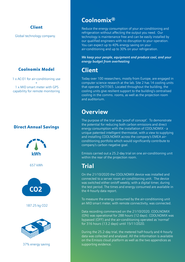#### Client

Global technology company.

#### Coolnomix Model

1 x AC-01 for air-conditioning use + 1 x MID smart meter with GPS capability for remote monitoring

#### Direct Annual Savings



657 kWh



187.25 kg CO2



37% energy saving

## **Coolnomix®**

Reduce the energy consumption of your air-conditioning and refrigeration without affecting the output you need. Our technology is maintenance free and can be easily installed by our qualified engineers with no disruption to your operation. You can expect up to 40% energy saving on your air-conditioning and up to 30% on your refrigeration.

*We keep your people, equipment and produce cool, and your energy budget from overheating*

## **Client**

Today over 100 researchers, mostly from Europe, are engaged in computer science research at the lab. Site 2 has 14 cooling units that operate 24/7/365. Located throughout the building, the cooling units give resilient support to the building's centralised cooling in the comms. rooms, as well as the projection room and auditorium.

## **Overview**

The purpose of the trial was 'proof of concept'. To demonstrate the potential for reducing both carbon emissions and direct energy consumption with the installation of COOLNOMIX - a unique patented intelligent thermostat, with a view to supplying and installing COOLNOMIX across the company's EMEA airconditioning portfolio which would significantly contribute to company's carbon negative goal.

Emissis carried out a 25.2-day trial on one air-conditioning unit within the rear of the projection room.

## **Trial**

On the 21/10/2020 the COOLNOMIX device was installed and connected to a server room air-conditioning unit. The device was switched either on/off weekly, with a digital timer, during the test period. The times and energy consumed are available in the 4-hourly data report.

To measure the energy consumed by the air-conditioning unit an MID smart meter, with remote connectivity, was connected.

Data recording commenced on the 21/10/2020. COOLNOMIX (ON) was operational for 288 hours (12 days). COOLNOMIX was bypassed (OFF) and the air-conditioning operated as 'normal' for 316 hours (13.2 days) until 15/11/2020.

During the 25.2-day trial, the metered half-hourly and 4-hourly data was collected and analysed. All the information is available on the Emissis cloud platform as well as the two appendices as supporting evidence.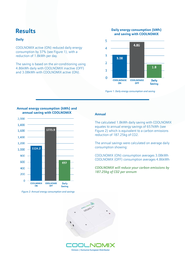## **Results**

#### **Daily**

COOLNOMIX active (ON) reduced daily energy consumption by 37% (see Figure 1), with a reduction of 1.8kWh per day.

The saving is based on the air-conditioning using 4.86kWh daily with COOLNOMIX inactive (OFF) and 3.08kWh with COOLNOMIX active (ON).

#### **Daily energy consumption (kWh) and saving with COOLNOMIX**



*Figure 1: Daily energy consumption and saving*



#### **Annual energy consumption (kWh) and annual saving with COOLNOMIX**

*Figure 2: Annual energy consumption and savings*

#### **Annual**

The calculated 1.8kWh daily saving with COOLNOMIX equates to annual energy savings of 657kWh (see Figure 2) which is equivalent to a carbon emissions reduction of 187.25kg of CO2.

The annual savings were calculated on average daily consumption showing:

COOLNOMIX (ON) consumption averages 3.08kWh COOLNOMIX (OFF) consumption averages 4.86kWh

*COOLNOMIX will reduce your carbon emissions by 187.25kg of C02 per annum*

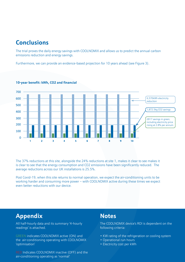## **Conclusions**

The trial proves the daily energy savings with COOLNOMIX and allows us to predict the annual carbon emissions reduction and energy savings.

Furthermore, we can provide an evidence-based projection for 10 years ahead (see Figure 3).



#### **10-year benefit: kWh, CO2 and financial**

The 37% reductions at this site, alongside the 24% reductions at site 1, makes it clear to see makes it is clear to see that the energy consumption and CO2 emissions have been significantly reduced. The average reductions across our UK installations is 25.5%.

Post Covid-19, when this site returns to normal operation, we expect the air-conditioning units to be working harder and consuming more power – with COOLNOMIX active during these times we expect even better reductions with our device.

## **Appendix**

All half-hourly data and its summary '4-hourly readings' is attached.

GREEN indicates COOLNOMIX active (ON) and the air-conditioning operating with COOLNOMIX 'optimisation'

RED Indicates COOLNOMIX inactive (OFF) and the air-conditioning operating as 'normal'

### **Notes**

The COOLNOMIX device's ROI is dependent on the following criteria:

- KW rating of the refrigeration or cooling system
- Operational run hours
- Electricity cost per kWh